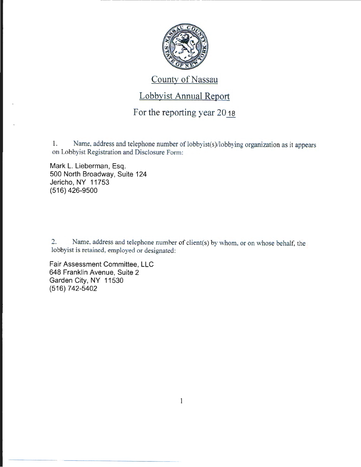

## County of Nassau

## Lobbyist Annual Report

## For the reporting year  $20_{18}$

1. Name, address and telephone number of lobbyist(s)/lobbying organization as it appears on Lobbyist Registration and Disclosure Form:

Mark L. Lieberman, Esq. 500 North Broadway, Suite 124 Jericho, NY 11753 (516) 426-9500

2. Name, address and telephone number of client(s) by whom, or on whose behalf, the lobbyist is retained, employed or designated:

Fair Assessment Committee, LLC 648 Franklin Avenue, Suite 2 Garden City, NY 11530 (516) 742-5402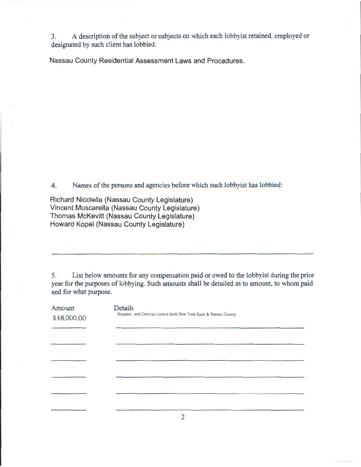3. A description of the subject or subjects on which each lobbyist retained, employed or designated by such client has lobbied:

Nassau County Residential Assessment Laws and Procedures.

4. Names of the persons and agencies before which such lobbyist has lobbied:

Richard Nicolella (Nassau County Legislature) Vincent Muscarella (Nassau County Legislature) Thomas McKevitt (Nassau County Legislature) Howard Kopel (Nassau County Legislature)

5. List below amounts for any compensation paid or owed to the lobbyist during the prior year for the purposes of lobbying. Such amounts shall be detailed as to amount, to whom paid and for what purpose.

| Amount<br>\$48,000.00 | Details<br>Retainer and Contract covers both New York State & Nassau County |
|-----------------------|-----------------------------------------------------------------------------|
|                       |                                                                             |
|                       |                                                                             |
|                       |                                                                             |
|                       |                                                                             |
|                       |                                                                             |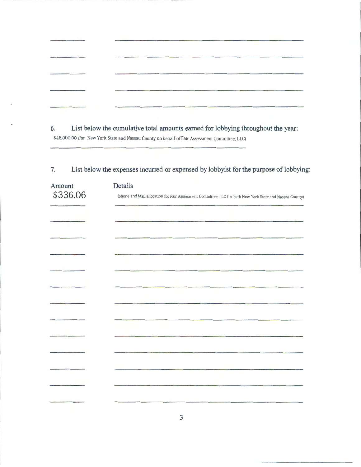| <b>Contract Contract Contract</b> | <b>Children and Committee Committee of the Committee Committee Committee Committee Committee Committee</b>                                                                                                                                                                                                                                                                                                                            |  |
|-----------------------------------|---------------------------------------------------------------------------------------------------------------------------------------------------------------------------------------------------------------------------------------------------------------------------------------------------------------------------------------------------------------------------------------------------------------------------------------|--|
|                                   |                                                                                                                                                                                                                                                                                                                                                                                                                                       |  |
|                                   | $\begin{minipage}{0.9\linewidth} \begin{tabular}{l} \hline \multicolumn{3}{c}{\textbf{m} \textbf{m} \textbf{m} \textbf{m} \textbf{m} \textbf{m} \textbf{m} \textbf{m} \textbf{m} \textbf{m} \textbf{m} \textbf{m} \textbf{m} \textbf{m} \textbf{m} \textbf{m} \textbf{m} \textbf{m} \textbf{m} \textbf{m} \textbf{m} \textbf{m} \textbf{m} \textbf{m} \textbf{m} \textbf{m} \textbf{m} \textbf{m} \textbf{m} \textbf{m} \textbf{m} \$ |  |

**6. List below the cumulative total amounts earned for lobbying throughout the year:**  \$48,000.00 (for New York State and Nassau County on behalf of Fair Assessment Committee. LLC)

| Amount<br>\$336.06 | <b>Details</b><br>(phone and Mail allocation for Fair Assessment Committee, LLC for both New York State and Nassau County) |
|--------------------|----------------------------------------------------------------------------------------------------------------------------|
|                    |                                                                                                                            |
|                    |                                                                                                                            |
|                    |                                                                                                                            |
|                    |                                                                                                                            |
|                    |                                                                                                                            |
|                    |                                                                                                                            |
|                    |                                                                                                                            |
|                    |                                                                                                                            |
|                    |                                                                                                                            |
|                    |                                                                                                                            |
|                    |                                                                                                                            |
|                    |                                                                                                                            |
|                    |                                                                                                                            |

7. List below the expenses incurred or expensed by lobbyist for the purpose of lobbying: